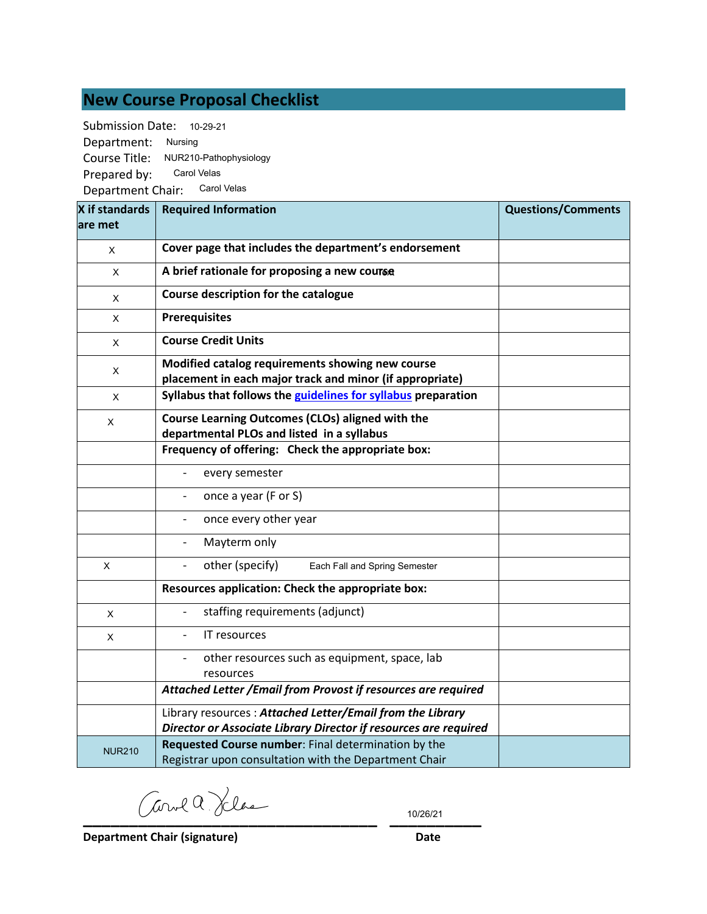# **New Course Proposal Checklist**

Submission Date: 10-29-21 Department: Nursing

Course Title: NUR210-Pathophysiology

Prepared by: Carol Velas

Department Chair: Carol Velas

| X if standards<br>lare met | <b>Required Information</b>                                                                                                   | <b>Questions/Comments</b> |
|----------------------------|-------------------------------------------------------------------------------------------------------------------------------|---------------------------|
| X                          | Cover page that includes the department's endorsement                                                                         |                           |
| X                          | A brief rationale for proposing a new course                                                                                  |                           |
| X                          | Course description for the catalogue                                                                                          |                           |
| X                          | <b>Prerequisites</b>                                                                                                          |                           |
| X                          | <b>Course Credit Units</b>                                                                                                    |                           |
| X                          | Modified catalog requirements showing new course<br>placement in each major track and minor (if appropriate)                  |                           |
| X                          | Syllabus that follows the guidelines for syllabus preparation                                                                 |                           |
| X                          | Course Learning Outcomes (CLOs) aligned with the<br>departmental PLOs and listed in a syllabus                                |                           |
|                            | Frequency of offering: Check the appropriate box:                                                                             |                           |
|                            | every semester                                                                                                                |                           |
|                            | once a year (F or S)                                                                                                          |                           |
|                            | once every other year                                                                                                         |                           |
|                            | Mayterm only                                                                                                                  |                           |
| X                          | other (specify)<br>Each Fall and Spring Semester<br>$\overline{\phantom{a}}$                                                  |                           |
|                            | Resources application: Check the appropriate box:                                                                             |                           |
| X                          | staffing requirements (adjunct)                                                                                               |                           |
| X                          | IT resources                                                                                                                  |                           |
|                            | other resources such as equipment, space, lab<br>resources                                                                    |                           |
|                            | Attached Letter / Email from Provost if resources are required                                                                |                           |
|                            | Library resources: Attached Letter/Email from the Library<br>Director or Associate Library Director if resources are required |                           |
| <b>NUR210</b>              | Requested Course number: Final determination by the<br>Registrar upon consultation with the Department Chair                  |                           |

**\_\_\_\_\_\_\_\_\_\_\_\_\_\_\_\_\_\_\_\_\_\_\_\_\_\_\_\_\_\_\_\_ \_\_\_\_\_\_\_\_\_\_**

10/26/21

**Department Chair (signature) Date**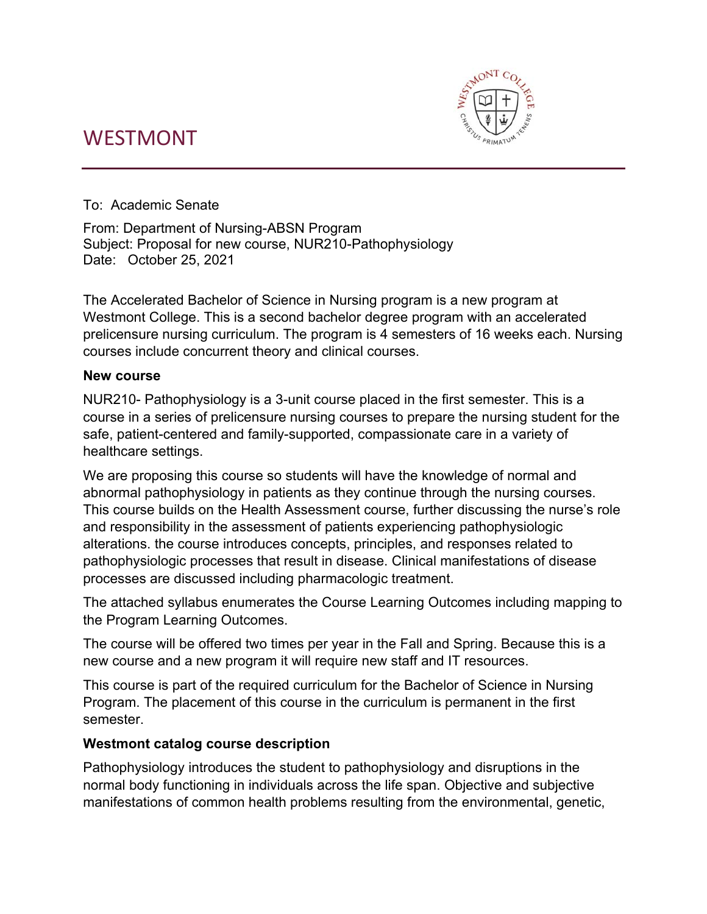# WESTMONT



To: Academic Senate

From: Department of Nursing-ABSN Program Subject: Proposal for new course, NUR210-Pathophysiology Date: October 25, 2021

The Accelerated Bachelor of Science in Nursing program is a new program at Westmont College. This is a second bachelor degree program with an accelerated prelicensure nursing curriculum. The program is 4 semesters of 16 weeks each. Nursing courses include concurrent theory and clinical courses.

#### **New course**

NUR210- Pathophysiology is a 3-unit course placed in the first semester. This is a course in a series of prelicensure nursing courses to prepare the nursing student for the safe, patient-centered and family-supported, compassionate care in a variety of healthcare settings.

We are proposing this course so students will have the knowledge of normal and abnormal pathophysiology in patients as they continue through the nursing courses. This course builds on the Health Assessment course, further discussing the nurse's role and responsibility in the assessment of patients experiencing pathophysiologic alterations. the course introduces concepts, principles, and responses related to pathophysiologic processes that result in disease. Clinical manifestations of disease processes are discussed including pharmacologic treatment.

The attached syllabus enumerates the Course Learning Outcomes including mapping to the Program Learning Outcomes.

The course will be offered two times per year in the Fall and Spring. Because this is a new course and a new program it will require new staff and IT resources.

This course is part of the required curriculum for the Bachelor of Science in Nursing Program. The placement of this course in the curriculum is permanent in the first semester.

#### **Westmont catalog course description**

Pathophysiology introduces the student to pathophysiology and disruptions in the normal body functioning in individuals across the life span. Objective and subjective manifestations of common health problems resulting from the environmental, genetic,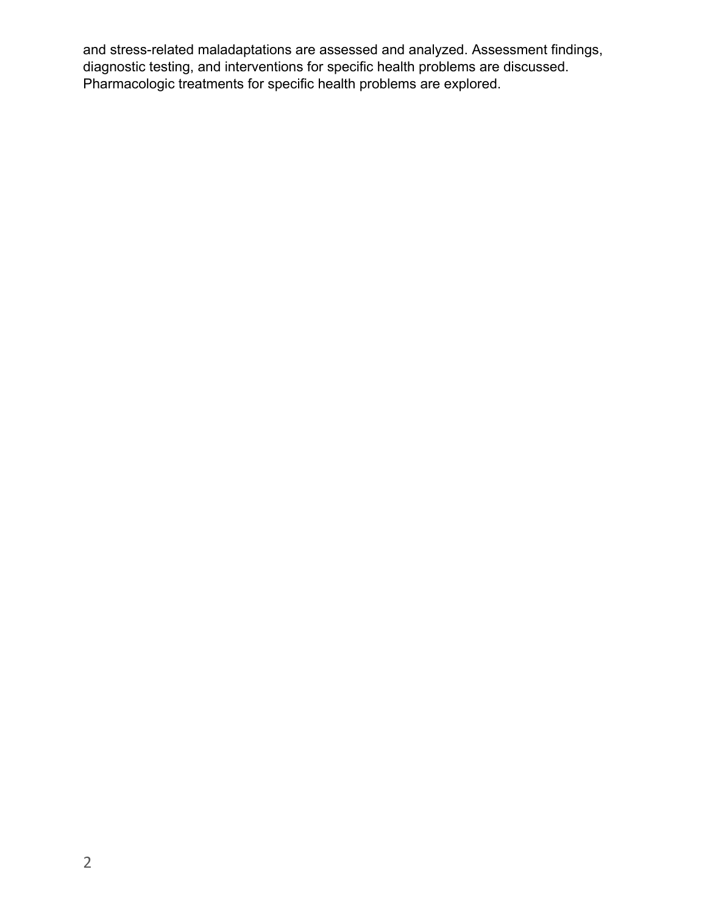and stress-related maladaptations are assessed and analyzed. Assessment findings, diagnostic testing, and interventions for specific health problems are discussed. Pharmacologic treatments for specific health problems are explored.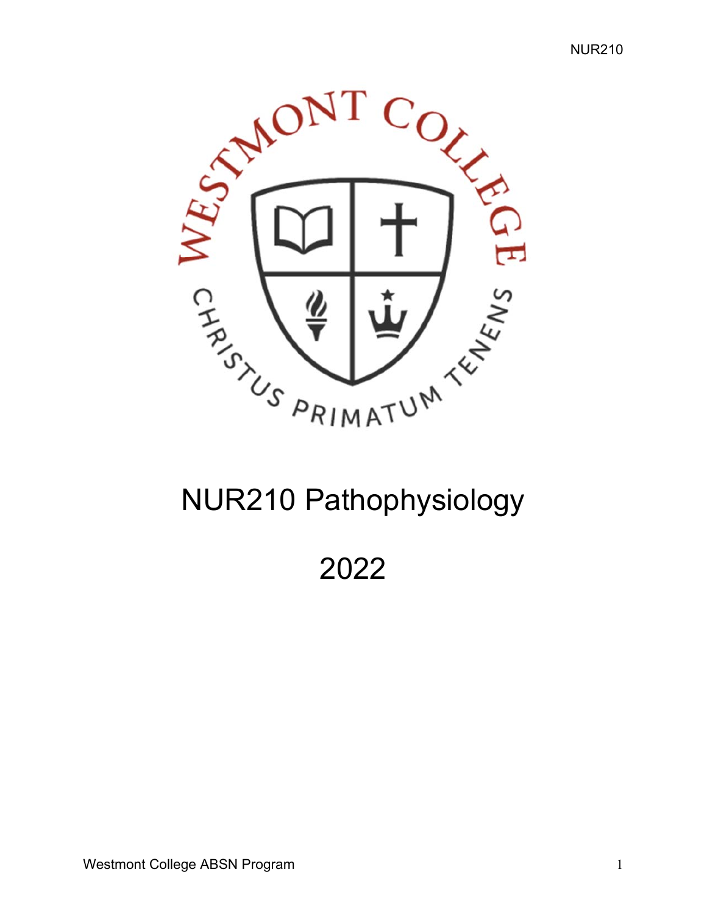

# NUR210 Pathophysiology

2022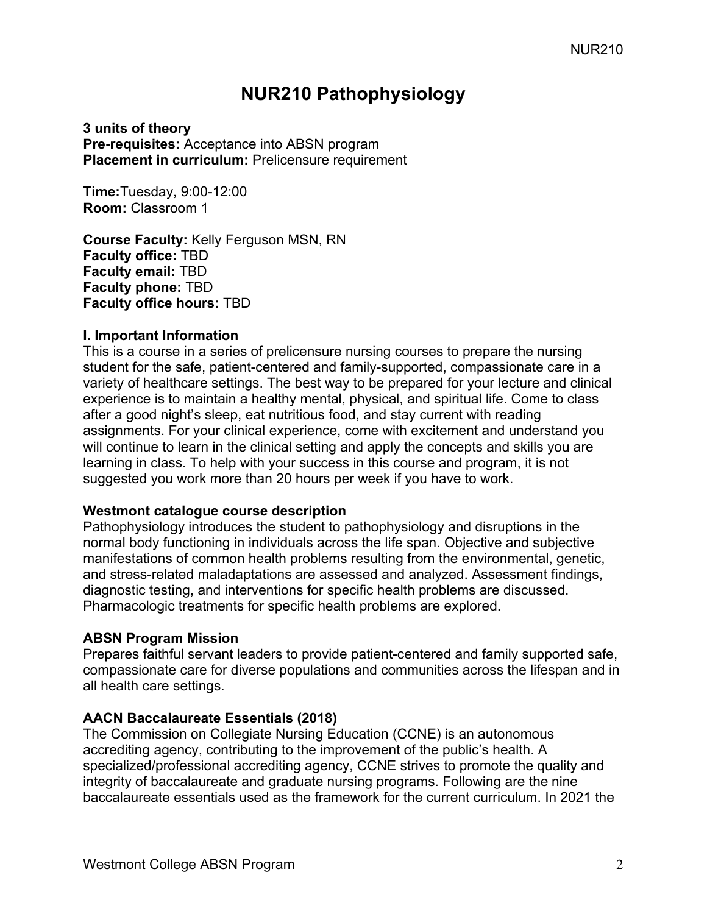# **NUR210 Pathophysiology**

**3 units of theory Pre-requisites:** Acceptance into ABSN program **Placement in curriculum:** Prelicensure requirement

**Time:**Tuesday, 9:00-12:00 **Room:** Classroom 1

**Course Faculty:** Kelly Ferguson MSN, RN **Faculty office:** TBD **Faculty email:** TBD **Faculty phone:** TBD **Faculty office hours:** TBD

#### **I. Important Information**

This is a course in a series of prelicensure nursing courses to prepare the nursing student for the safe, patient-centered and family-supported, compassionate care in a variety of healthcare settings. The best way to be prepared for your lecture and clinical experience is to maintain a healthy mental, physical, and spiritual life. Come to class after a good night's sleep, eat nutritious food, and stay current with reading assignments. For your clinical experience, come with excitement and understand you will continue to learn in the clinical setting and apply the concepts and skills you are learning in class. To help with your success in this course and program, it is not suggested you work more than 20 hours per week if you have to work.

#### **Westmont catalogue course description**

Pathophysiology introduces the student to pathophysiology and disruptions in the normal body functioning in individuals across the life span. Objective and subjective manifestations of common health problems resulting from the environmental, genetic, and stress-related maladaptations are assessed and analyzed. Assessment findings, diagnostic testing, and interventions for specific health problems are discussed. Pharmacologic treatments for specific health problems are explored.

#### **ABSN Program Mission**

Prepares faithful servant leaders to provide patient-centered and family supported safe, compassionate care for diverse populations and communities across the lifespan and in all health care settings.

#### **AACN Baccalaureate Essentials (2018)**

The Commission on Collegiate Nursing Education (CCNE) is an autonomous accrediting agency, contributing to the improvement of the public's health. A specialized/professional accrediting agency, CCNE strives to promote the quality and integrity of baccalaureate and graduate nursing programs. Following are the nine baccalaureate essentials used as the framework for the current curriculum. In 2021 the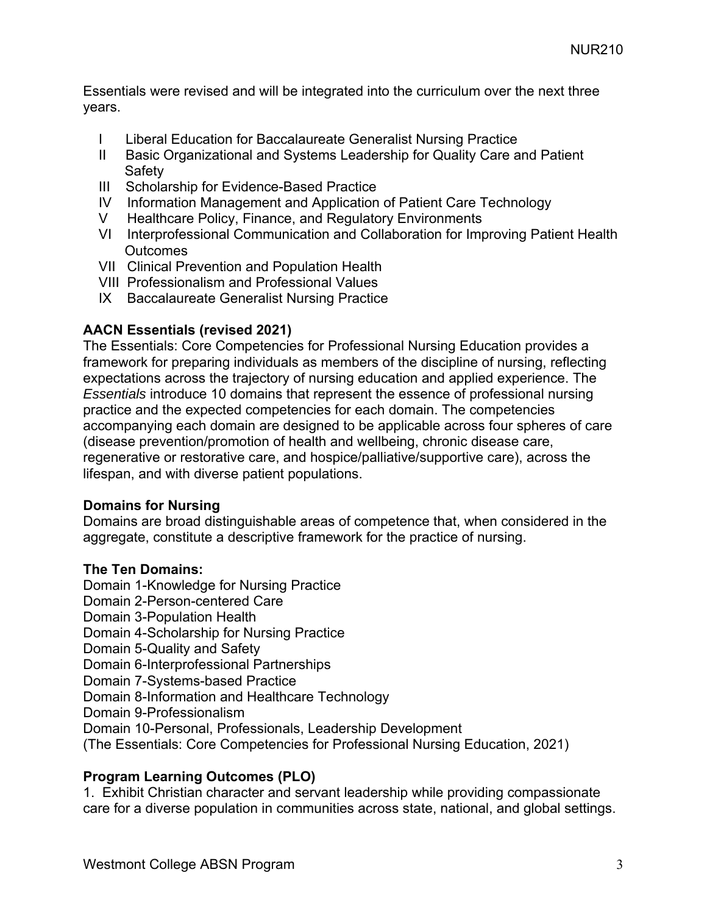Essentials were revised and will be integrated into the curriculum over the next three years.

- I Liberal Education for Baccalaureate Generalist Nursing Practice
- II Basic Organizational and Systems Leadership for Quality Care and Patient **Safety**
- III Scholarship for Evidence-Based Practice
- IV Information Management and Application of Patient Care Technology
- V Healthcare Policy, Finance, and Regulatory Environments
- VI Interprofessional Communication and Collaboration for Improving Patient Health **Outcomes**
- VII Clinical Prevention and Population Health
- VIII Professionalism and Professional Values
- IX Baccalaureate Generalist Nursing Practice

#### **AACN Essentials (revised 2021)**

The Essentials: Core Competencies for Professional Nursing Education provides a framework for preparing individuals as members of the discipline of nursing, reflecting expectations across the trajectory of nursing education and applied experience. The *Essentials* introduce 10 domains that represent the essence of professional nursing practice and the expected competencies for each domain. The competencies accompanying each domain are designed to be applicable across four spheres of care (disease prevention/promotion of health and wellbeing, chronic disease care, regenerative or restorative care, and hospice/palliative/supportive care), across the lifespan, and with diverse patient populations.

#### **Domains for Nursing**

Domains are broad distinguishable areas of competence that, when considered in the aggregate, constitute a descriptive framework for the practice of nursing.

#### **The Ten Domains:**

Domain 1-Knowledge for Nursing Practice Domain 2-Person-centered Care Domain 3-Population Health Domain 4-Scholarship for Nursing Practice Domain 5-Quality and Safety Domain 6-Interprofessional Partnerships Domain 7-Systems-based Practice Domain 8-Information and Healthcare Technology Domain 9-Professionalism Domain 10-Personal, Professionals, Leadership Development (The Essentials: Core Competencies for Professional Nursing Education, 2021)

#### **Program Learning Outcomes (PLO)**

1. Exhibit Christian character and servant leadership while providing compassionate care for a diverse population in communities across state, national, and global settings.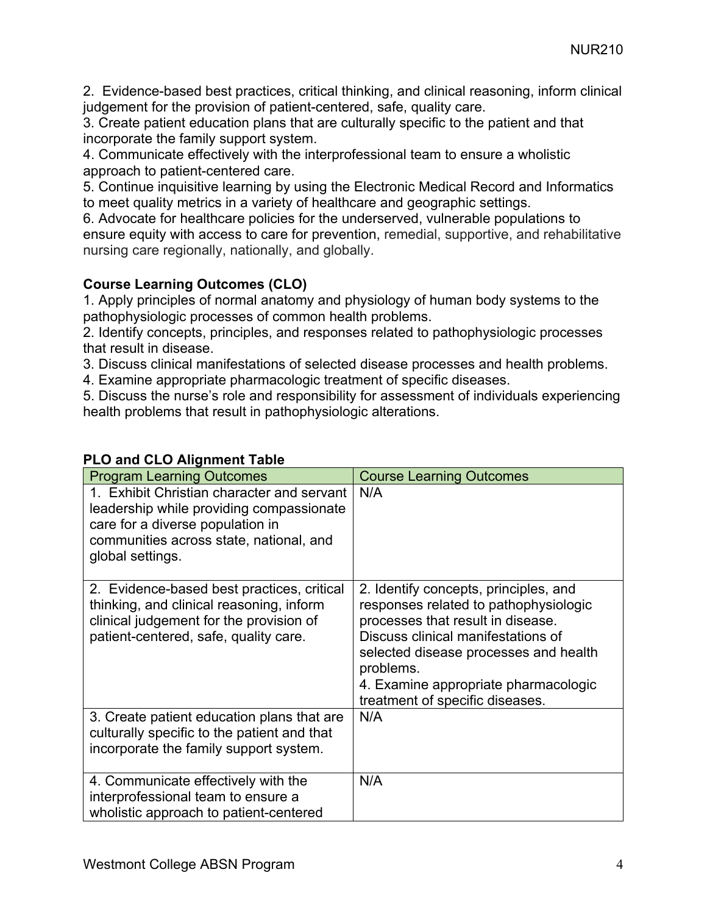2. Evidence-based best practices, critical thinking, and clinical reasoning, inform clinical judgement for the provision of patient-centered, safe, quality care.

3. Create patient education plans that are culturally specific to the patient and that incorporate the family support system.

4. Communicate effectively with the interprofessional team to ensure a wholistic approach to patient-centered care.

5. Continue inquisitive learning by using the Electronic Medical Record and Informatics to meet quality metrics in a variety of healthcare and geographic settings.

6. Advocate for healthcare policies for the underserved, vulnerable populations to ensure equity with access to care for prevention, remedial, supportive, and rehabilitative nursing care regionally, nationally, and globally.

### **Course Learning Outcomes (CLO)**

1. Apply principles of normal anatomy and physiology of human body systems to the pathophysiologic processes of common health problems.

2. Identify concepts, principles, and responses related to pathophysiologic processes that result in disease.

3. Discuss clinical manifestations of selected disease processes and health problems.

4. Examine appropriate pharmacologic treatment of specific diseases.

5. Discuss the nurse's role and responsibility for assessment of individuals experiencing health problems that result in pathophysiologic alterations.

| <b>Program Learning Outcomes</b>                                                                                                                                                          | <b>Course Learning Outcomes</b>                                                                                                                                                                                                                                                            |
|-------------------------------------------------------------------------------------------------------------------------------------------------------------------------------------------|--------------------------------------------------------------------------------------------------------------------------------------------------------------------------------------------------------------------------------------------------------------------------------------------|
| 1. Exhibit Christian character and servant<br>leadership while providing compassionate<br>care for a diverse population in<br>communities across state, national, and<br>global settings. | N/A                                                                                                                                                                                                                                                                                        |
| 2. Evidence-based best practices, critical<br>thinking, and clinical reasoning, inform<br>clinical judgement for the provision of<br>patient-centered, safe, quality care.                | 2. Identify concepts, principles, and<br>responses related to pathophysiologic<br>processes that result in disease.<br>Discuss clinical manifestations of<br>selected disease processes and health<br>problems.<br>4. Examine appropriate pharmacologic<br>treatment of specific diseases. |
| 3. Create patient education plans that are<br>culturally specific to the patient and that<br>incorporate the family support system.                                                       | N/A                                                                                                                                                                                                                                                                                        |
| 4. Communicate effectively with the<br>interprofessional team to ensure a<br>wholistic approach to patient-centered                                                                       | N/A                                                                                                                                                                                                                                                                                        |

## **PLO and CLO Alignment Table**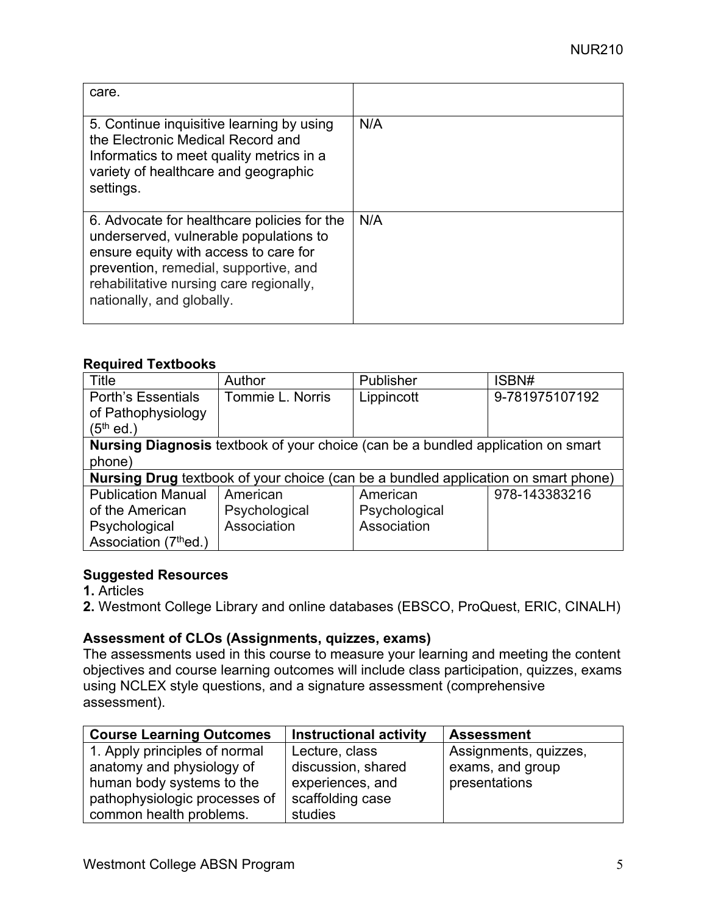| care.                                                                                                                                                                                                                                           |     |
|-------------------------------------------------------------------------------------------------------------------------------------------------------------------------------------------------------------------------------------------------|-----|
| 5. Continue inquisitive learning by using<br>the Electronic Medical Record and<br>Informatics to meet quality metrics in a<br>variety of healthcare and geographic<br>settings.                                                                 | N/A |
| 6. Advocate for healthcare policies for the<br>underserved, vulnerable populations to<br>ensure equity with access to care for<br>prevention, remedial, supportive, and<br>rehabilitative nursing care regionally,<br>nationally, and globally. | N/A |

#### **Required Textbooks**

| Title                             | Author                                                                           | Publisher                                                                          | ISBN#          |  |  |  |
|-----------------------------------|----------------------------------------------------------------------------------|------------------------------------------------------------------------------------|----------------|--|--|--|
| <b>Porth's Essentials</b>         | Tommie L. Norris                                                                 | Lippincott                                                                         | 9-781975107192 |  |  |  |
| of Pathophysiology                |                                                                                  |                                                                                    |                |  |  |  |
| $(5^{\text{th}}$ ed.)             |                                                                                  |                                                                                    |                |  |  |  |
|                                   | Nursing Diagnosis textbook of your choice (can be a bundled application on smart |                                                                                    |                |  |  |  |
| phone)                            |                                                                                  |                                                                                    |                |  |  |  |
|                                   |                                                                                  | Nursing Drug textbook of your choice (can be a bundled application on smart phone) |                |  |  |  |
| <b>Publication Manual</b>         | American                                                                         | American                                                                           | 978-143383216  |  |  |  |
| of the American                   | Psychological                                                                    | Psychological                                                                      |                |  |  |  |
| Psychological                     | Association                                                                      | Association                                                                        |                |  |  |  |
| Association (7 <sup>th</sup> ed.) |                                                                                  |                                                                                    |                |  |  |  |

#### **Suggested Resources**

**1.** Articles

**2.** Westmont College Library and online databases (EBSCO, ProQuest, ERIC, CINALH)

#### **Assessment of CLOs (Assignments, quizzes, exams)**

The assessments used in this course to measure your learning and meeting the content objectives and course learning outcomes will include class participation, quizzes, exams using NCLEX style questions, and a signature assessment (comprehensive assessment).

| <b>Course Learning Outcomes</b> | <b>Instructional activity</b> | <b>Assessment</b>     |
|---------------------------------|-------------------------------|-----------------------|
| 1. Apply principles of normal   | Lecture, class                | Assignments, quizzes, |
| anatomy and physiology of       | discussion, shared            | exams, and group      |
| human body systems to the       | experiences, and              | presentations         |
| pathophysiologic processes of   | scaffolding case              |                       |
| common health problems.         | studies                       |                       |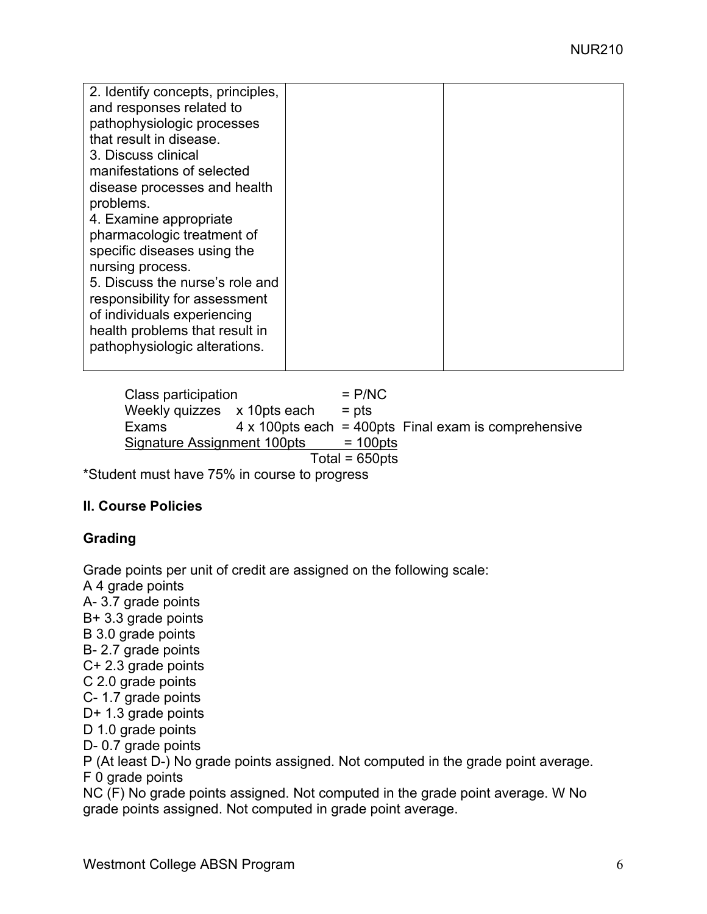| 2. Identify concepts, principles, |  |
|-----------------------------------|--|
| and responses related to          |  |
| pathophysiologic processes        |  |
| that result in disease.           |  |
| 3. Discuss clinical               |  |
| manifestations of selected        |  |
| disease processes and health      |  |
| problems.                         |  |
| 4. Examine appropriate            |  |
| pharmacologic treatment of        |  |
| specific diseases using the       |  |
| nursing process.                  |  |
| 5. Discuss the nurse's role and   |  |
| responsibility for assessment     |  |
| of individuals experiencing       |  |
| health problems that result in    |  |
| pathophysiologic alterations.     |  |
|                                   |  |

 $Class$  participation  $= P/NC$ Weekly quizzes  $x$  10pts each = pts Exams 4 x 100pts each = 400pts Final exam is comprehensive Signature Assignment 100pts = 100pts  $Total = 650pts$ 

\*Student must have 75% in course to progress

#### **II. Course Policies**

#### **Grading**

Grade points per unit of credit are assigned on the following scale:

A 4 grade points A- 3.7 grade points B+ 3.3 grade points B 3.0 grade points B- 2.7 grade points C+ 2.3 grade points C 2.0 grade points C- 1.7 grade points D+ 1.3 grade points D 1.0 grade points D- 0.7 grade points P (At least D-) No grade points assigned. Not computed in the grade point average. F 0 grade points

NC (F) No grade points assigned. Not computed in the grade point average. W No grade points assigned. Not computed in grade point average.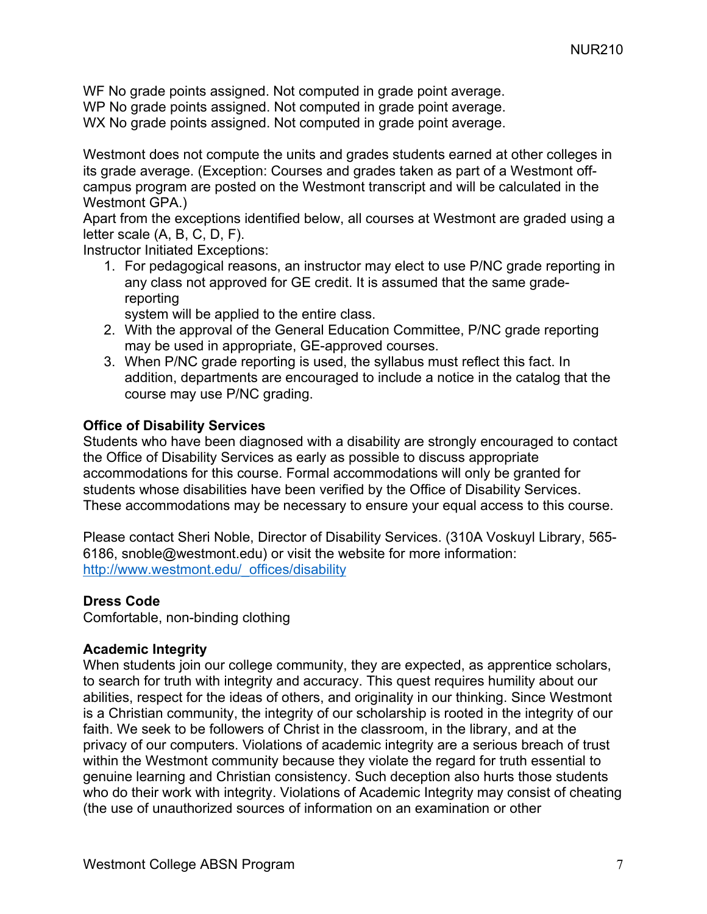WF No grade points assigned. Not computed in grade point average.

WP No grade points assigned. Not computed in grade point average.

WX No grade points assigned. Not computed in grade point average.

Westmont does not compute the units and grades students earned at other colleges in its grade average. (Exception: Courses and grades taken as part of a Westmont offcampus program are posted on the Westmont transcript and will be calculated in the Westmont GPA.)

Apart from the exceptions identified below, all courses at Westmont are graded using a letter scale (A, B, C, D, F).

Instructor Initiated Exceptions:

1. For pedagogical reasons, an instructor may elect to use P/NC grade reporting in any class not approved for GE credit. It is assumed that the same gradereporting

system will be applied to the entire class.

- 2. With the approval of the General Education Committee, P/NC grade reporting may be used in appropriate, GE-approved courses.
- 3. When P/NC grade reporting is used, the syllabus must reflect this fact. In addition, departments are encouraged to include a notice in the catalog that the course may use P/NC grading.

#### **Office of Disability Services**

Students who have been diagnosed with a disability are strongly encouraged to contact the Office of Disability Services as early as possible to discuss appropriate accommodations for this course. Formal accommodations will only be granted for students whose disabilities have been verified by the Office of Disability Services. These accommodations may be necessary to ensure your equal access to this course.

Please contact Sheri Noble, Director of Disability Services. (310A Voskuyl Library, 565- 6186, snoble@westmont.edu) or visit the website for more information: http://www.westmont.edu/\_offices/disability

#### **Dress Code**

Comfortable, non-binding clothing

#### **Academic Integrity**

When students join our college community, they are expected, as apprentice scholars, to search for truth with integrity and accuracy. This quest requires humility about our abilities, respect for the ideas of others, and originality in our thinking. Since Westmont is a Christian community, the integrity of our scholarship is rooted in the integrity of our faith. We seek to be followers of Christ in the classroom, in the library, and at the privacy of our computers. Violations of academic integrity are a serious breach of trust within the Westmont community because they violate the regard for truth essential to genuine learning and Christian consistency. Such deception also hurts those students who do their work with integrity. Violations of Academic Integrity may consist of cheating (the use of unauthorized sources of information on an examination or other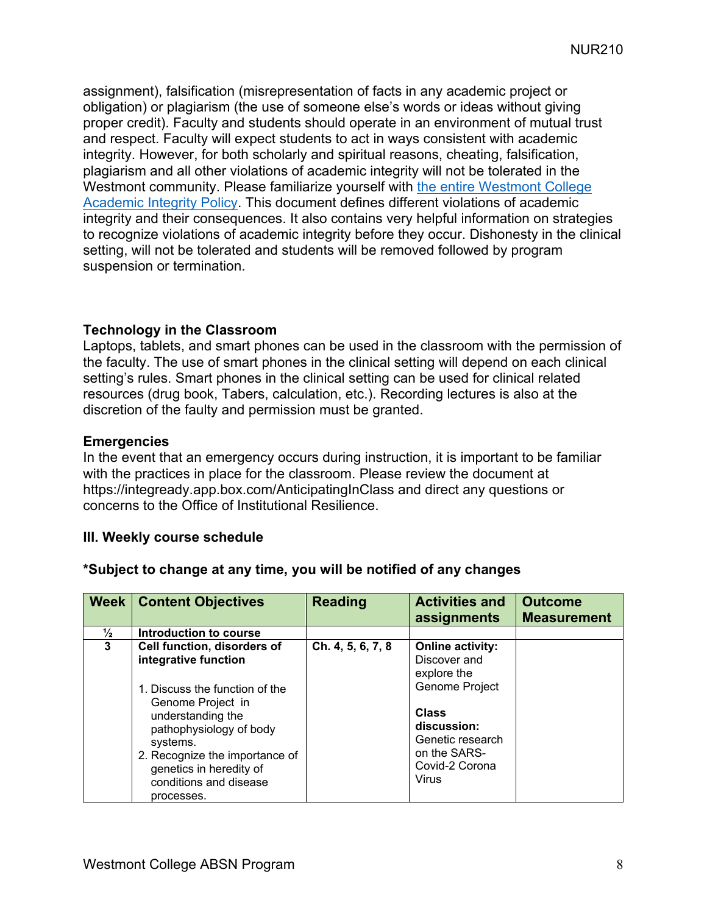assignment), falsification (misrepresentation of facts in any academic project or obligation) or plagiarism (the use of someone else's words or ideas without giving proper credit). Faculty and students should operate in an environment of mutual trust and respect. Faculty will expect students to act in ways consistent with academic integrity. However, for both scholarly and spiritual reasons, cheating, falsification, plagiarism and all other violations of academic integrity will not be tolerated in the Westmont community. Please familiarize yourself with the entire Westmont College Academic Integrity Policy. This document defines different violations of academic integrity and their consequences. It also contains very helpful information on strategies to recognize violations of academic integrity before they occur. Dishonesty in the clinical setting, will not be tolerated and students will be removed followed by program suspension or termination.

#### **Technology in the Classroom**

Laptops, tablets, and smart phones can be used in the classroom with the permission of the faculty. The use of smart phones in the clinical setting will depend on each clinical setting's rules. Smart phones in the clinical setting can be used for clinical related resources (drug book, Tabers, calculation, etc.). Recording lectures is also at the discretion of the faulty and permission must be granted.

#### **Emergencies**

In the event that an emergency occurs during instruction, it is important to be familiar with the practices in place for the classroom. Please review the document at https://integready.app.box.com/AnticipatingInClass and direct any questions or concerns to the Office of Institutional Resilience.

#### **III. Weekly course schedule**

|               | <b>Week   Content Objectives</b>                                                                                                                                                                                                                                            | <b>Reading</b>    | <b>Activities and</b><br>assignments                                                                                                                                   | <b>Outcome</b><br><b>Measurement</b> |
|---------------|-----------------------------------------------------------------------------------------------------------------------------------------------------------------------------------------------------------------------------------------------------------------------------|-------------------|------------------------------------------------------------------------------------------------------------------------------------------------------------------------|--------------------------------------|
| $\frac{1}{2}$ | Introduction to course                                                                                                                                                                                                                                                      |                   |                                                                                                                                                                        |                                      |
| 3             | Cell function, disorders of<br>integrative function<br>1. Discuss the function of the<br>Genome Project in<br>understanding the<br>pathophysiology of body<br>systems.<br>2. Recognize the importance of<br>genetics in heredity of<br>conditions and disease<br>processes. | Ch. 4, 5, 6, 7, 8 | <b>Online activity:</b><br>Discover and<br>explore the<br>Genome Project<br><b>Class</b><br>discussion:<br>Genetic research<br>on the SARS-<br>Covid-2 Corona<br>Virus |                                      |

#### **\*Subject to change at any time, you will be notified of any changes**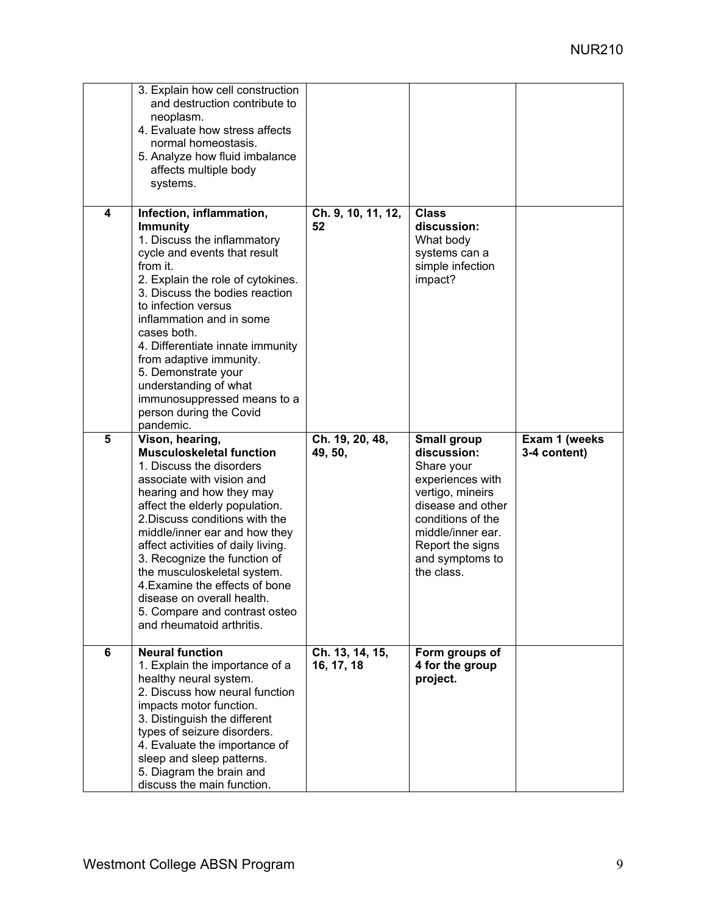| 4 | 3. Explain how cell construction<br>and destruction contribute to<br>neoplasm.<br>4. Evaluate how stress affects<br>normal homeostasis.<br>5. Analyze how fluid imbalance<br>affects multiple body<br>systems.<br>Infection, inflammation,<br><b>Immunity</b><br>1. Discuss the inflammatory<br>cycle and events that result<br>from it.<br>2. Explain the role of cytokines.<br>3. Discuss the bodies reaction<br>to infection versus<br>inflammation and in some<br>cases both.<br>4. Differentiate innate immunity<br>from adaptive immunity.<br>5. Demonstrate your<br>understanding of what<br>immunosuppressed means to a<br>person during the Covid | Ch. 9, 10, 11, 12,<br>52      | <b>Class</b><br>discussion:<br>What body<br>systems can a<br>simple infection<br>impact?                                                                                              |               |
|---|------------------------------------------------------------------------------------------------------------------------------------------------------------------------------------------------------------------------------------------------------------------------------------------------------------------------------------------------------------------------------------------------------------------------------------------------------------------------------------------------------------------------------------------------------------------------------------------------------------------------------------------------------------|-------------------------------|---------------------------------------------------------------------------------------------------------------------------------------------------------------------------------------|---------------|
| 5 | pandemic.<br>Vison, hearing,                                                                                                                                                                                                                                                                                                                                                                                                                                                                                                                                                                                                                               | Ch. 19, 20, 48,               | Small group                                                                                                                                                                           | Exam 1 (weeks |
|   | <b>Musculoskeletal function</b><br>1. Discuss the disorders<br>associate with vision and<br>hearing and how they may<br>affect the elderly population.<br>2. Discuss conditions with the<br>middle/inner ear and how they<br>affect activities of daily living.<br>3. Recognize the function of<br>the musculoskeletal system.<br>4. Examine the effects of bone<br>disease on overall health.<br>5. Compare and contrast osteo<br>and rheumatoid arthritis.                                                                                                                                                                                               | 49, 50,                       | discussion:<br>Share your<br>experiences with<br>vertigo, mineirs<br>disease and other<br>conditions of the<br>middle/inner ear.<br>Report the signs<br>and symptoms to<br>the class. | 3-4 content)  |
| 6 | <b>Neural function</b><br>1. Explain the importance of a<br>healthy neural system.<br>2. Discuss how neural function<br>impacts motor function.<br>3. Distinguish the different<br>types of seizure disorders.<br>4. Evaluate the importance of<br>sleep and sleep patterns.<br>5. Diagram the brain and<br>discuss the main function.                                                                                                                                                                                                                                                                                                                     | Ch. 13, 14, 15,<br>16, 17, 18 | Form groups of<br>4 for the group<br>project.                                                                                                                                         |               |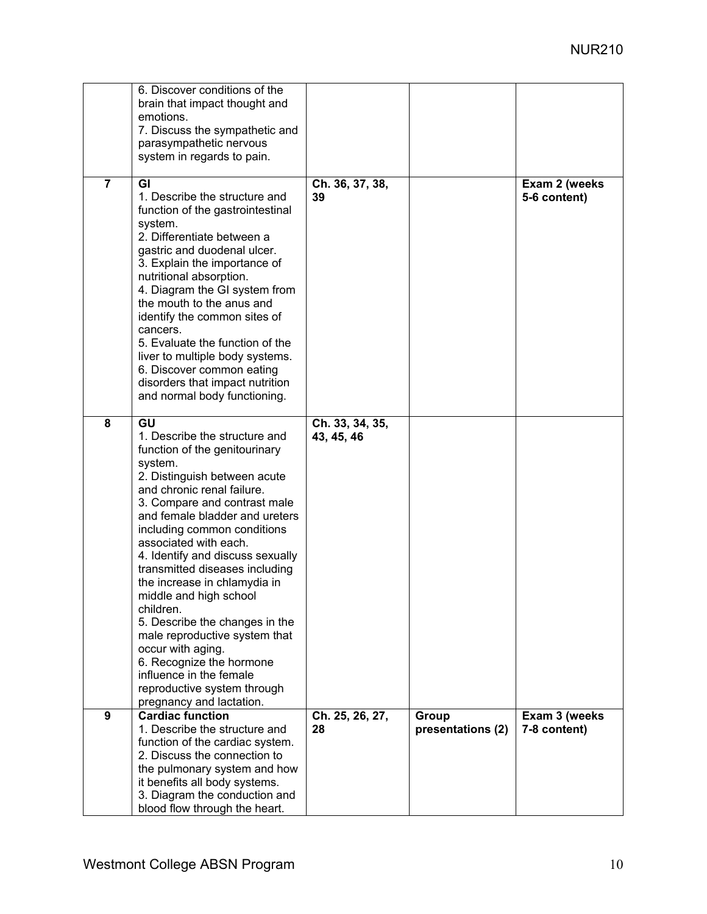|                | 6. Discover conditions of the<br>brain that impact thought and<br>emotions.<br>7. Discuss the sympathetic and<br>parasympathetic nervous<br>system in regards to pain.                                                                                                                                                                                                                                                                                                                                                                                                                                                         |                               |                            |                               |
|----------------|--------------------------------------------------------------------------------------------------------------------------------------------------------------------------------------------------------------------------------------------------------------------------------------------------------------------------------------------------------------------------------------------------------------------------------------------------------------------------------------------------------------------------------------------------------------------------------------------------------------------------------|-------------------------------|----------------------------|-------------------------------|
| $\overline{7}$ | GI<br>1. Describe the structure and<br>function of the gastrointestinal<br>system.<br>2. Differentiate between a<br>gastric and duodenal ulcer.<br>3. Explain the importance of<br>nutritional absorption.<br>4. Diagram the GI system from<br>the mouth to the anus and<br>identify the common sites of<br>cancers.<br>5. Evaluate the function of the<br>liver to multiple body systems.<br>6. Discover common eating<br>disorders that impact nutrition<br>and normal body functioning.                                                                                                                                     | Ch. 36, 37, 38,<br>39         |                            | Exam 2 (weeks<br>5-6 content) |
| 8              | GU<br>1. Describe the structure and<br>function of the genitourinary<br>system.<br>2. Distinguish between acute<br>and chronic renal failure.<br>3. Compare and contrast male<br>and female bladder and ureters<br>including common conditions<br>associated with each.<br>4. Identify and discuss sexually<br>transmitted diseases including<br>the increase in chlamydia in<br>middle and high school<br>children.<br>5. Describe the changes in the<br>male reproductive system that<br>occur with aging.<br>6. Recognize the hormone<br>influence in the female<br>reproductive system through<br>pregnancy and lactation. | Ch. 33, 34, 35,<br>43, 45, 46 |                            |                               |
| 9              | <b>Cardiac function</b><br>1. Describe the structure and<br>function of the cardiac system.<br>2. Discuss the connection to<br>the pulmonary system and how<br>it benefits all body systems.<br>3. Diagram the conduction and<br>blood flow through the heart.                                                                                                                                                                                                                                                                                                                                                                 | Ch. 25, 26, 27,<br>28         | Group<br>presentations (2) | Exam 3 (weeks<br>7-8 content) |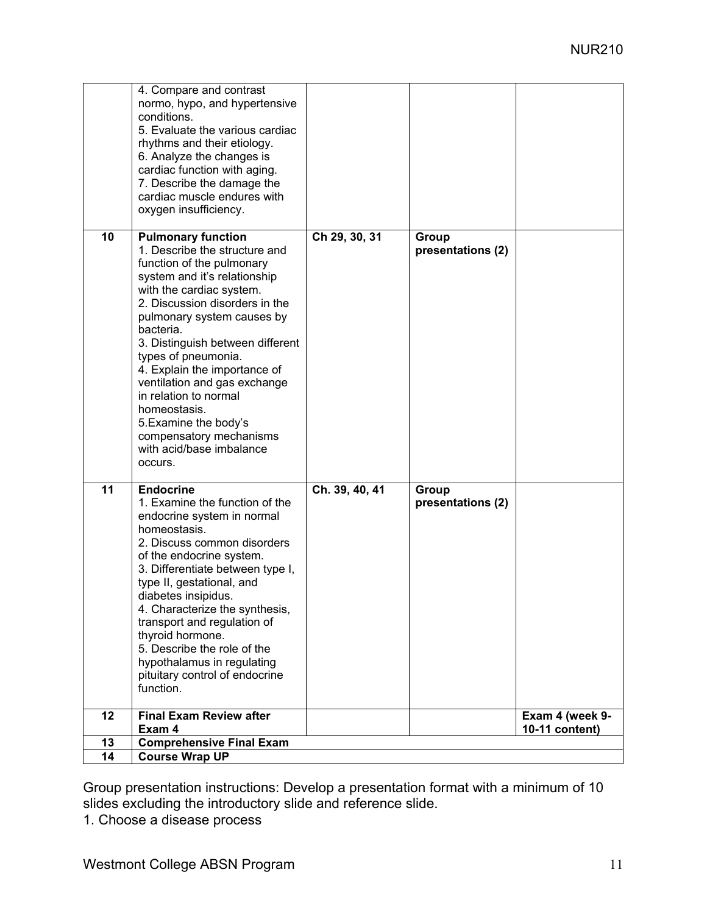|    | 4. Compare and contrast<br>normo, hypo, and hypertensive<br>conditions.<br>5. Evaluate the various cardiac<br>rhythms and their etiology.<br>6. Analyze the changes is<br>cardiac function with aging.<br>7. Describe the damage the<br>cardiac muscle endures with<br>oxygen insufficiency.                                                                                                                                                                                                    |                |                            |                 |
|----|-------------------------------------------------------------------------------------------------------------------------------------------------------------------------------------------------------------------------------------------------------------------------------------------------------------------------------------------------------------------------------------------------------------------------------------------------------------------------------------------------|----------------|----------------------------|-----------------|
| 10 | <b>Pulmonary function</b><br>1. Describe the structure and<br>function of the pulmonary<br>system and it's relationship<br>with the cardiac system.<br>2. Discussion disorders in the<br>pulmonary system causes by<br>bacteria.<br>3. Distinguish between different<br>types of pneumonia.<br>4. Explain the importance of<br>ventilation and gas exchange<br>in relation to normal<br>homeostasis.<br>5. Examine the body's<br>compensatory mechanisms<br>with acid/base imbalance<br>occurs. | Ch 29, 30, 31  | Group<br>presentations (2) |                 |
| 11 | <b>Endocrine</b><br>1. Examine the function of the<br>endocrine system in normal<br>homeostasis.<br>2. Discuss common disorders<br>of the endocrine system.<br>3. Differentiate between type I,<br>type II, gestational, and<br>diabetes insipidus.<br>4. Characterize the synthesis,<br>transport and regulation of<br>thyroid hormone.<br>5. Describe the role of the<br>hypothalamus in regulating<br>pituitary control of endocrine<br>function.                                            | Ch. 39, 40, 41 | Group<br>presentations (2) |                 |
| 12 | <b>Final Exam Review after</b>                                                                                                                                                                                                                                                                                                                                                                                                                                                                  |                |                            | Exam 4 (week 9- |
|    | Exam 4                                                                                                                                                                                                                                                                                                                                                                                                                                                                                          |                |                            | 10-11 content)  |
| 13 | <b>Comprehensive Final Exam</b>                                                                                                                                                                                                                                                                                                                                                                                                                                                                 |                |                            |                 |
| 14 | <b>Course Wrap UP</b>                                                                                                                                                                                                                                                                                                                                                                                                                                                                           |                |                            |                 |

Group presentation instructions: Develop a presentation format with a minimum of 10 slides excluding the introductory slide and reference slide.

1. Choose a disease process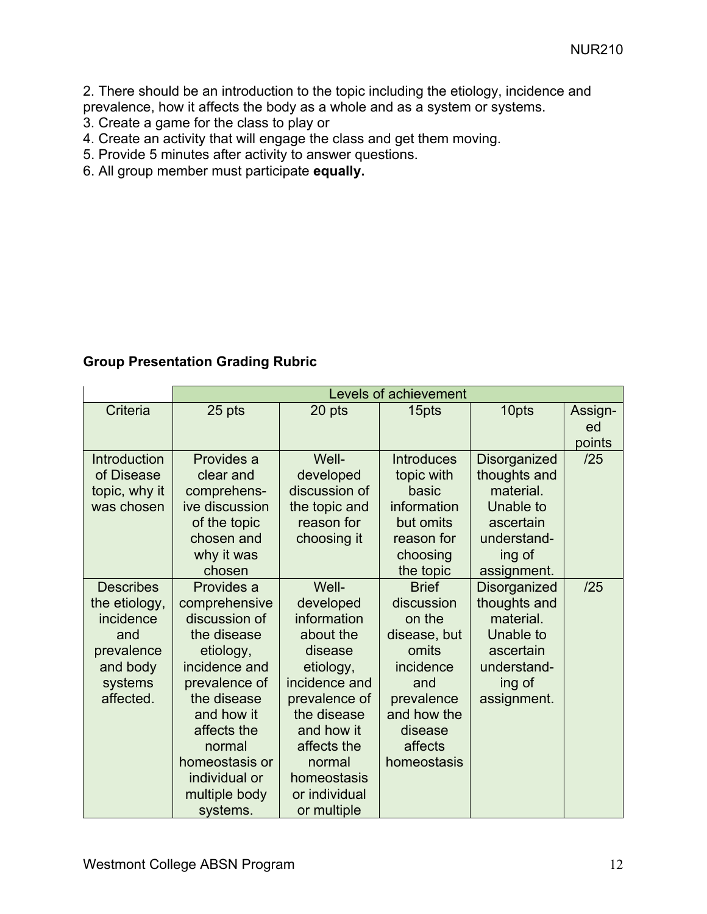2. There should be an introduction to the topic including the etiology, incidence and prevalence, how it affects the body as a whole and as a system or systems.

- 3. Create a game for the class to play or
- 4. Create an activity that will engage the class and get them moving.
- 5. Provide 5 minutes after activity to answer questions.
- 6. All group member must participate **equally.**

## **Group Presentation Grading Rubric**

|                  |                | <b>Levels of achievement</b> |                   |              |         |  |
|------------------|----------------|------------------------------|-------------------|--------------|---------|--|
| Criteria         | 25 pts         | 20 pts                       | 15pts             | 10pts        | Assign- |  |
|                  |                |                              |                   |              | ed      |  |
|                  |                |                              |                   |              | points  |  |
| Introduction     | Provides a     | Well-                        | <b>Introduces</b> | Disorganized | /25     |  |
| of Disease       | clear and      | developed                    | topic with        | thoughts and |         |  |
| topic, why it    | comprehens-    | discussion of                | basic             | material.    |         |  |
| was chosen       | ive discussion | the topic and                | information       | Unable to    |         |  |
|                  | of the topic   | reason for                   | but omits         | ascertain    |         |  |
|                  | chosen and     | choosing it                  | reason for        | understand-  |         |  |
|                  | why it was     |                              | choosing          | ing of       |         |  |
|                  | chosen         |                              | the topic         | assignment.  |         |  |
| <b>Describes</b> | Provides a     | Well-                        | <b>Brief</b>      | Disorganized | /25     |  |
| the etiology,    | comprehensive  | developed                    | discussion        | thoughts and |         |  |
| incidence        | discussion of  | information                  | on the            | material.    |         |  |
| and              | the disease    | about the                    | disease, but      | Unable to    |         |  |
| prevalence       | etiology,      | disease                      | omits             | ascertain    |         |  |
| and body         | incidence and  | etiology,                    | incidence         | understand-  |         |  |
| systems          | prevalence of  | incidence and                | and               | ing of       |         |  |
| affected.        | the disease    | prevalence of                | prevalence        | assignment.  |         |  |
|                  | and how it     | the disease                  | and how the       |              |         |  |
|                  | affects the    | and how it                   | disease           |              |         |  |
|                  | normal         | affects the                  | affects           |              |         |  |
|                  | homeostasis or | normal                       | homeostasis       |              |         |  |
|                  | individual or  | homeostasis                  |                   |              |         |  |
|                  | multiple body  | or individual                |                   |              |         |  |
|                  | systems.       | or multiple                  |                   |              |         |  |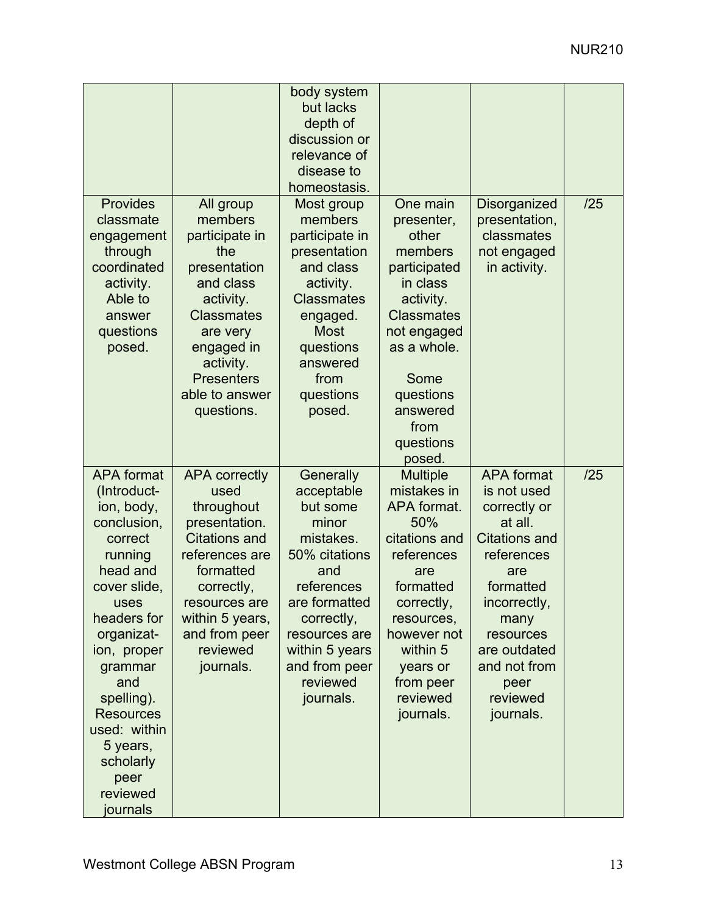|                   |                                | body system         |                       |                      |     |
|-------------------|--------------------------------|---------------------|-----------------------|----------------------|-----|
|                   |                                | but lacks           |                       |                      |     |
|                   |                                | depth of            |                       |                      |     |
|                   |                                | discussion or       |                       |                      |     |
|                   |                                | relevance of        |                       |                      |     |
|                   |                                | disease to          |                       |                      |     |
|                   |                                | homeostasis.        |                       |                      |     |
| Provides          | All group                      | Most group          | One main              | Disorganized         | /25 |
| classmate         | members                        | members             | presenter,            | presentation,        |     |
| engagement        | participate in                 | participate in      | other                 | classmates           |     |
| through           | the                            | presentation        | members               | not engaged          |     |
| coordinated       | presentation                   | and class           | participated          | in activity.         |     |
| activity.         | and class                      | activity.           | in class              |                      |     |
| Able to           | activity.                      | <b>Classmates</b>   | activity.             |                      |     |
| answer            | <b>Classmates</b>              | engaged.            | <b>Classmates</b>     |                      |     |
| questions         | are very                       | <b>Most</b>         | not engaged           |                      |     |
| posed.            | engaged in                     | questions           | as a whole.           |                      |     |
|                   | activity.<br><b>Presenters</b> | answered<br>from    | Some                  |                      |     |
|                   | able to answer                 |                     |                       |                      |     |
|                   |                                | questions<br>posed. | questions<br>answered |                      |     |
|                   | questions.                     |                     | from                  |                      |     |
|                   |                                |                     | questions             |                      |     |
|                   |                                |                     | posed.                |                      |     |
| <b>APA</b> format | <b>APA correctly</b>           | Generally           | <b>Multiple</b>       | <b>APA</b> format    | /25 |
| (Introduct-       | used                           | acceptable          | mistakes in           | is not used          |     |
| ion, body,        | throughout                     | but some            | APA format.           | correctly or         |     |
| conclusion,       | presentation.                  | minor               | 50%                   | at all.              |     |
| correct           | <b>Citations and</b>           | mistakes.           | citations and         | <b>Citations and</b> |     |
| running           | references are                 | 50% citations       | references            | references           |     |
| head and          | formatted                      | and                 | are                   | are                  |     |
| cover slide,      | correctly,                     | references          | formatted             | formatted            |     |
| uses              | resources are                  | are formatted       | correctly,            | incorrectly,         |     |
| headers for       | within 5 years,                | correctly,          | resources,            | many                 |     |
| organizat-        | and from peer                  | resources are       | however not           | resources            |     |
| ion, proper       | reviewed                       | within 5 years      | within 5              | are outdated         |     |
| grammar           | journals.                      | and from peer       | years or              | and not from         |     |
| and               |                                | reviewed            | from peer             | peer                 |     |
| spelling).        |                                | journals.           | reviewed              | reviewed             |     |
| <b>Resources</b>  |                                |                     | journals.             | journals.            |     |
| used: within      |                                |                     |                       |                      |     |
| 5 years,          |                                |                     |                       |                      |     |
| scholarly         |                                |                     |                       |                      |     |
| peer              |                                |                     |                       |                      |     |
| reviewed          |                                |                     |                       |                      |     |
| journals          |                                |                     |                       |                      |     |